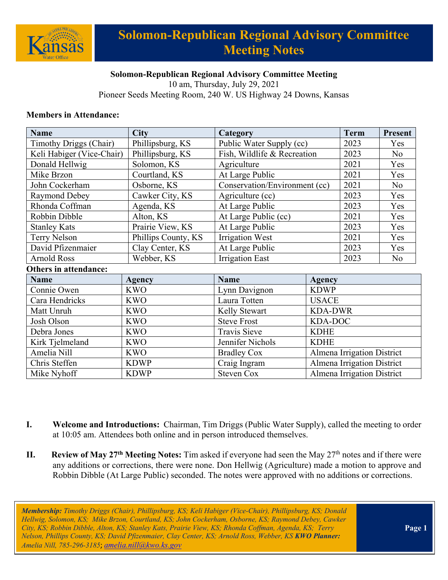

# **Solomon-Republican Regional Advisory Committee Meeting Notes**

### **Solomon-Republican Regional Advisory Committee Meeting**

10 am, Thursday, July 29, 2021 Pioneer Seeds Meeting Room, 240 W. US Highway 24 Downs, Kansas

#### **Members in Attendance:**

| <b>Name</b>                   | <b>City</b>         | Category                      |                            |                            | <b>Present</b> |
|-------------------------------|---------------------|-------------------------------|----------------------------|----------------------------|----------------|
| <b>Timothy Driggs (Chair)</b> | Phillipsburg, KS    | Public Water Supply (cc)      |                            | 2023                       | Yes            |
| Keli Habiger (Vice-Chair)     | Phillipsburg, KS    | Fish, Wildlife & Recreation   |                            | 2023                       | N <sub>o</sub> |
| Donald Hellwig                | Solomon, KS         | Agriculture                   |                            | 2021                       | Yes            |
| Mike Brzon                    | Courtland, KS       | At Large Public               |                            | 2021                       | Yes            |
| John Cockerham                | Osborne, KS         | Conservation/Environment (cc) |                            | 2021                       | N <sub>o</sub> |
| Raymond Debey                 | Cawker City, KS     | Agriculture (cc)              |                            | 2023                       | Yes            |
| Rhonda Coffman                | Agenda, KS          | At Large Public               |                            | 2023                       | Yes            |
| Robbin Dibble                 | Alton, KS           | At Large Public (cc)          |                            | 2021                       | Yes            |
| <b>Stanley Kats</b>           | Prairie View, KS    | At Large Public               |                            | 2023                       | Yes            |
| Terry Nelson                  | Phillips County, KS | <b>Irrigation West</b>        |                            | 2021                       | Yes            |
| David Pfizenmaier             | Clay Center, KS     | At Large Public               |                            | 2023                       | Yes            |
| <b>Arnold Ross</b>            | Webber, KS          | <b>Irrigation East</b>        |                            | 2023                       | No             |
| <b>Others in attendance:</b>  |                     |                               |                            |                            |                |
| <b>Name</b>                   | <b>Agency</b>       | <b>Name</b>                   | <b>Agency</b>              |                            |                |
| Connie Owen                   | <b>KWO</b>          | Lynn Davignon                 | <b>KDWP</b>                |                            |                |
| Cara Hendricks                | <b>KWO</b>          | Laura Totten                  | <b>USACE</b>               |                            |                |
| Matt Unruh                    | <b>KWO</b>          | Kelly Stewart                 |                            | <b>KDA-DWR</b>             |                |
| Josh Olson                    | <b>KWO</b>          | <b>Steve Frost</b>            | <b>KDA-DOC</b>             |                            |                |
| Debra Jones                   | <b>KWO</b>          | <b>Travis Sieve</b>           | <b>KDHE</b>                |                            |                |
| Kirk Tjelmeland               | <b>KWO</b>          | Jennifer Nichols              | <b>KDHE</b>                |                            |                |
| Amelia Nill                   | <b>KWO</b>          | <b>Bradley Cox</b>            | Almena Irrigation District |                            |                |
| Chris Steffen                 | <b>KDWP</b>         | Craig Ingram                  | Almena Irrigation District |                            |                |
| Mike Nyhoff                   | <b>KDWP</b>         | <b>Steven Cox</b>             |                            | Almena Irrigation District |                |

- **I. Welcome and Introductions:** Chairman, Tim Driggs (Public Water Supply), called the meeting to order at 10:05 am. Attendees both online and in person introduced themselves.
- **II.** Review of May 27<sup>th</sup> Meeting Notes: Tim asked if everyone had seen the May 27<sup>th</sup> notes and if there were any additions or corrections, there were none. Don Hellwig (Agriculture) made a motion to approve and Robbin Dibble (At Large Public) seconded. The notes were approved with no additions or corrections.

*Membership: Timothy Driggs (Chair), Phillipsburg, KS; Keli Habiger (Vice-Chair), Phillipsburg, KS; Donald Hellwig, Solomon, KS; Mike Brzon, Courtland, KS; John Cockerham, Osborne, KS; Raymond Debey, Cawker City, KS; Robbin Dibble, Alton, KS; Stanley Kats, Prairie View, KS; Rhonda Coffman, Agenda, KS; Terry Nelson, Phillips County, KS; David Pfizenmaier, Clay Center, KS; Arnold Ross, Webber, KS KWO Planner: Amelia Nill, 785-296-3185*; *[amelia.nill@kwo.ks.gov](mailto:amelia.nill@kwo.ks.gov)*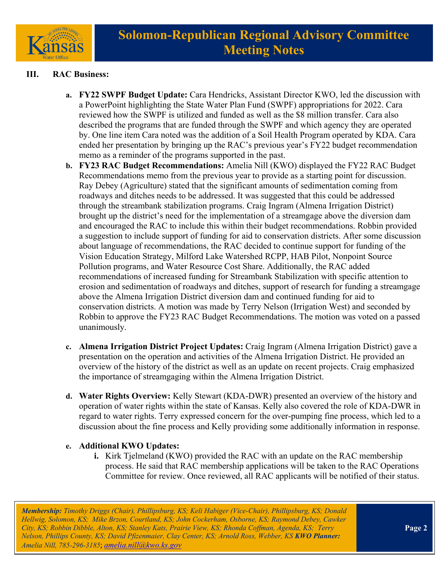

## **III. RAC Business:**

- **a. FY22 SWPF Budget Update:** Cara Hendricks, Assistant Director KWO, led the discussion with a PowerPoint highlighting the State Water Plan Fund (SWPF) appropriations for 2022. Cara reviewed how the SWPF is utilized and funded as well as the \$8 million transfer. Cara also described the programs that are funded through the SWPF and which agency they are operated by. One line item Cara noted was the addition of a Soil Health Program operated by KDA. Cara ended her presentation by bringing up the RAC's previous year's FY22 budget recommendation memo as a reminder of the programs supported in the past.
- **b. FY23 RAC Budget Recommendations:** Amelia Nill (KWO) displayed the FY22 RAC Budget Recommendations memo from the previous year to provide as a starting point for discussion. Ray Debey (Agriculture) stated that the significant amounts of sedimentation coming from roadways and ditches needs to be addressed. It was suggested that this could be addressed through the streambank stabilization programs. Craig Ingram (Almena Irrigation District) brought up the district's need for the implementation of a streamgage above the diversion dam and encouraged the RAC to include this within their budget recommendations. Robbin provided a suggestion to include support of funding for aid to conservation districts. After some discussion about language of recommendations, the RAC decided to continue support for funding of the Vision Education Strategy, Milford Lake Watershed RCPP, HAB Pilot, Nonpoint Source Pollution programs, and Water Resource Cost Share. Additionally, the RAC added recommendations of increased funding for Streambank Stabilization with specific attention to erosion and sedimentation of roadways and ditches, support of research for funding a streamgage above the Almena Irrigation District diversion dam and continued funding for aid to conservation districts. A motion was made by Terry Nelson (Irrigation West) and seconded by Robbin to approve the FY23 RAC Budget Recommendations. The motion was voted on a passed unanimously.
- **c. Almena Irrigation District Project Updates:** Craig Ingram (Almena Irrigation District) gave a presentation on the operation and activities of the Almena Irrigation District. He provided an overview of the history of the district as well as an update on recent projects. Craig emphasized the importance of streamgaging within the Almena Irrigation District.
- **d. Water Rights Overview:** Kelly Stewart (KDA-DWR) presented an overview of the history and operation of water rights within the state of Kansas. Kelly also covered the role of KDA-DWR in regard to water rights. Terry expressed concern for the over-pumping fine process, which led to a discussion about the fine process and Kelly providing some additionally information in response.
- **e. Additional KWO Updates:**
	- **i.** Kirk Tjelmeland (KWO) provided the RAC with an update on the RAC membership process. He said that RAC membership applications will be taken to the RAC Operations Committee for review. Once reviewed, all RAC applicants will be notified of their status.

*Membership: Timothy Driggs (Chair), Phillipsburg, KS; Keli Habiger (Vice-Chair), Phillipsburg, KS; Donald Hellwig, Solomon, KS; Mike Brzon, Courtland, KS; John Cockerham, Osborne, KS; Raymond Debey, Cawker City, KS; Robbin Dibble, Alton, KS; Stanley Kats, Prairie View, KS; Rhonda Coffman, Agenda, KS; Terry Nelson, Phillips County, KS; David Pfizenmaier, Clay Center, KS; Arnold Ross, Webber, KS KWO Planner: Amelia Nill, 785-296-3185*; *[amelia.nill@kwo.ks.gov](mailto:amelia.nill@kwo.ks.gov)*